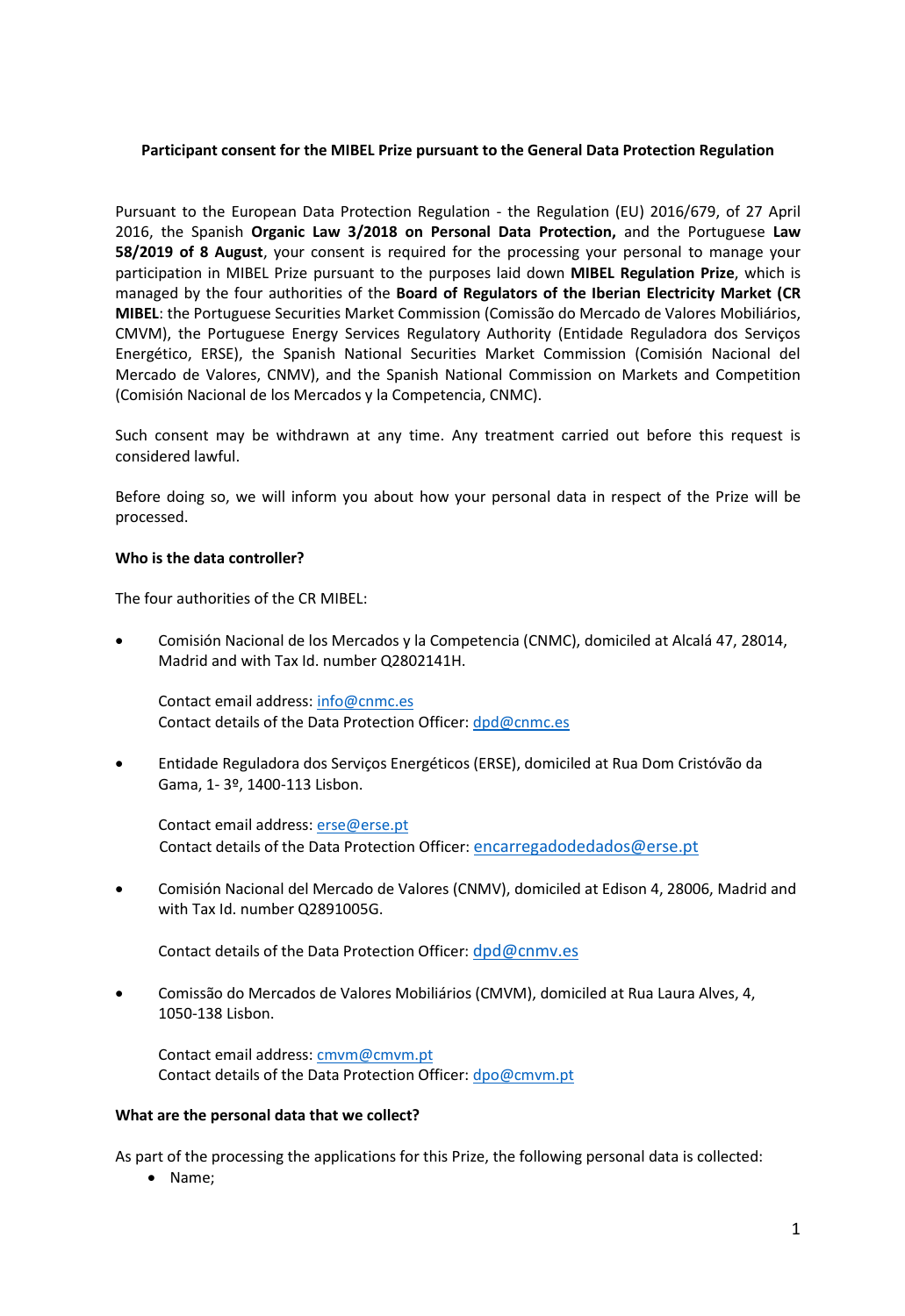## **Participant consent for the MIBEL Prize pursuant to the General Data Protection Regulation**

Pursuant to the European Data Protection Regulation - the Regulation (EU) 2016/679, of 27 April 2016, the Spanish **Organic Law 3/2018 on Personal Data Protection,** and the Portuguese **Law 58/2019 of 8 August**, your consent is required for the processing your personal to manage your participation in MIBEL Prize pursuant to the purposes laid down **MIBEL Regulation Prize**, which is managed by the four authorities of the **Board of Regulators of the Iberian Electricity Market (CR MIBEL**: the Portuguese Securities Market Commission (Comissão do Mercado de Valores Mobiliários, CMVM), the Portuguese Energy Services Regulatory Authority (Entidade Reguladora dos Serviços Energético, ERSE), the Spanish National Securities Market Commission (Comisión Nacional del Mercado de Valores, CNMV), and the Spanish National Commission on Markets and Competition (Comisión Nacional de los Mercados y la Competencia, CNMC).

Such consent may be withdrawn at any time. Any treatment carried out before this request is considered lawful.

Before doing so, we will inform you about how your personal data in respect of the Prize will be processed.

#### **Who is the data controller?**

The four authorities of the CR MIBEL:

• Comisión Nacional de los Mercados y la Competencia (CNMC), domiciled at Alcalá 47, 28014, Madrid and with Tax Id. number Q2802141H.

Contact email address[: info@cnmc.es](mailto:info@cnmc.es) Contact details of the Data Protection Officer: [dpd@cnmc.es](mailto:dpd@cnmc.es)

• Entidade Reguladora dos Serviços Energéticos (ERSE), domiciled at Rua Dom Cristóvão da Gama, 1- 3º, 1400-113 Lisbon.

Contact email address[: erse@erse.pt](mailto:erse@erse.pt) Contact details of the Data Protection Officer: [encarregadodedados@erse.pt](mailto:encarregadodedados@erse.pt)

• Comisión Nacional del Mercado de Valores (CNMV), domiciled at Edison 4, 28006, Madrid and with Tax Id. number Q2891005G.

Contact details of the Data Protection Officer: [dpd@cnmv.es](mailto:dpd@cnmv.es)

• Comissão do Mercados de Valores Mobiliários (CMVM), domiciled at Rua Laura Alves, 4, 1050-138 Lisbon.

Contact email address[: cmvm@cmvm.pt](mailto:cmvm@cmvm.pt) Contact details of the Data Protection Officer: [dpo@cmvm.pt](mailto:dpo@cmvm.pt)

#### **What are the personal data that we collect?**

As part of the processing the applications for this Prize, the following personal data is collected:

• Name;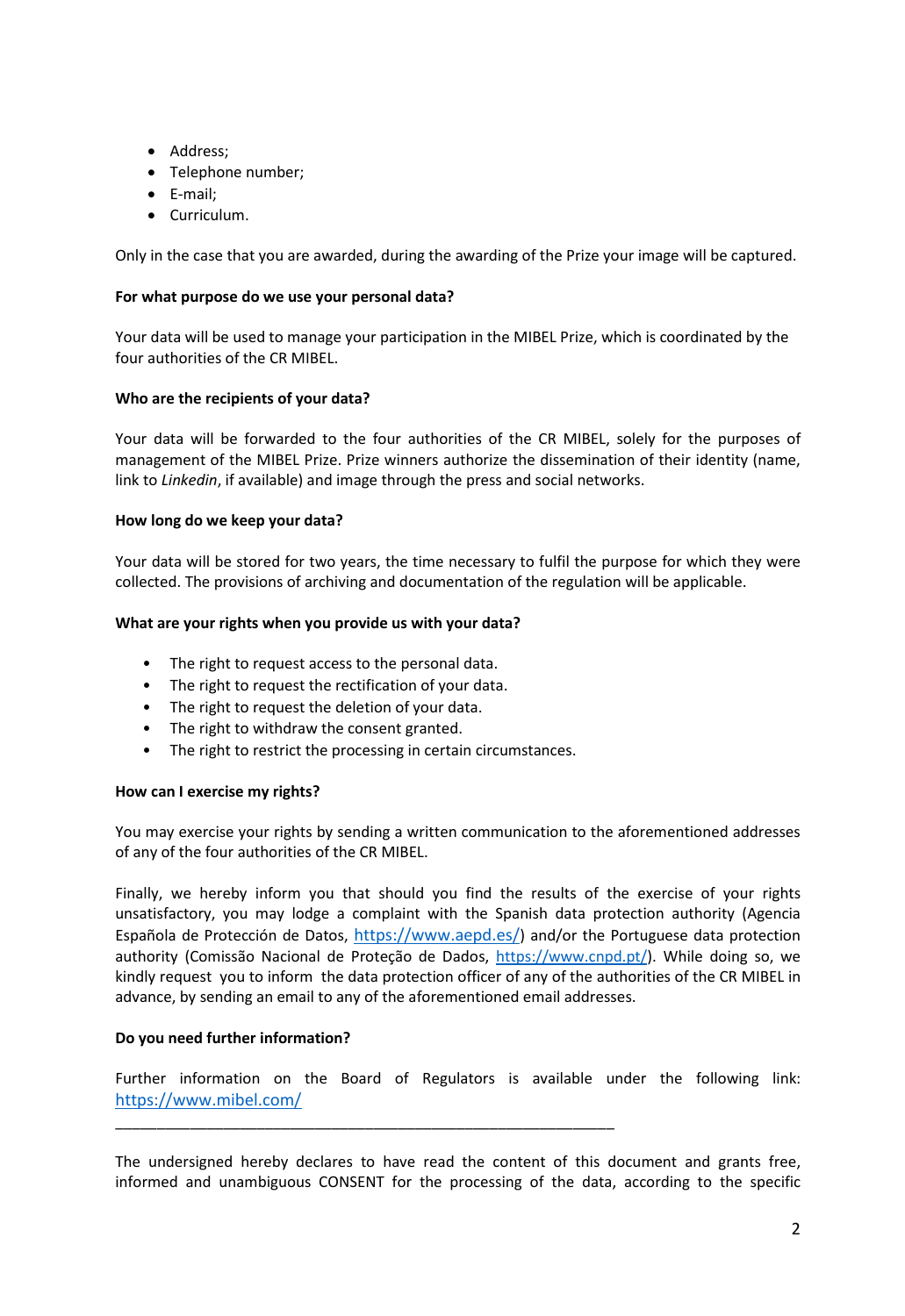- Address;
- Telephone number;
- E-mail;
- Curriculum.

Only in the case that you are awarded, during the awarding of the Prize your image will be captured.

## **For what purpose do we use your personal data?**

Your data will be used to manage your participation in the MIBEL Prize, which is coordinated by the four authorities of the CR MIBEL.

## **Who are the recipients of your data?**

Your data will be forwarded to the four authorities of the CR MIBEL, solely for the purposes of management of the MIBEL Prize. Prize winners authorize the dissemination of their identity (name, link to *Linkedin*, if available) and image through the press and social networks.

## **How long do we keep your data?**

Your data will be stored for two years, the time necessary to fulfil the purpose for which they were collected. The provisions of archiving and documentation of the regulation will be applicable.

## **What are your rights when you provide us with your data?**

- The right to request access to the personal data.
- The right to request the rectification of your data.
- The right to request the deletion of your data.
- The right to withdraw the consent granted.
- The right to restrict the processing in certain circumstances.

\_\_\_\_\_\_\_\_\_\_\_\_\_\_\_\_\_\_\_\_\_\_\_\_\_\_\_\_\_\_\_\_\_\_\_\_\_\_\_\_\_\_\_\_\_\_\_\_\_\_\_\_\_\_\_\_\_\_\_\_

# **How can I exercise my rights?**

You may exercise your rights by sending a written communication to the aforementioned addresses of any of the four authorities of the CR MIBEL.

Finally, we hereby inform you that should you find the results of the exercise of your rights unsatisfactory, you may lodge a complaint with the Spanish data protection authority (Agencia Española de Protección de Datos, <https://www.aepd.es/>) and/or the Portuguese data protection authority (Comissão Nacional de Proteção de Dados, [https://www.cnpd.pt/\)](https://www.cnpd.pt/). While doing so, we kindly request you to inform the data protection officer of any of the authorities of the CR MIBEL in advance, by sending an email to any of the aforementioned email addresses.

# **Do you need further information?**

Further information on the Board of Regulators is available under the following link: <https://www.mibel.com/>

The undersigned hereby declares to have read the content of this document and grants free, informed and unambiguous CONSENT for the processing of the data, according to the specific